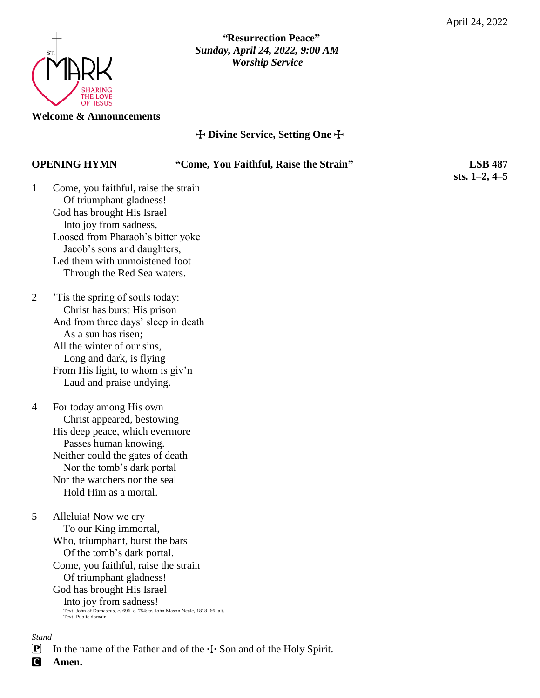

# *"***Resurrection Peace"**  *Sunday, April 24, 2022, 9:00 AM Worship Service*

**Welcome & Announcements**

# **The Divine Service, Setting One The Property**

## **OPENING HYMN** "Come, You Faithful, Raise the Strain" LSB 487

1 Come, you faithful, raise the strain Of triumphant gladness! God has brought His Israel Into joy from sadness, Loosed from Pharaoh's bitter yoke Jacob's sons and daughters, Led them with unmoistened foot Through the Red Sea waters.

2 'Tis the spring of souls today: Christ has burst His prison And from three days' sleep in death As a sun has risen; All the winter of our sins, Long and dark, is flying From His light, to whom is giv'n Laud and praise undying.

4 For today among His own Christ appeared, bestowing His deep peace, which evermore Passes human knowing. Neither could the gates of death Nor the tomb's dark portal Nor the watchers nor the seal Hold Him as a mortal.

5 Alleluia! Now we cry To our King immortal, Who, triumphant, burst the bars Of the tomb's dark portal. Come, you faithful, raise the strain Of triumphant gladness! God has brought His Israel Into joy from sadness! Text: John of Damascus, c. 696–c. 754; tr. John Mason Neale, 1818–66, alt. Text: Public domain

*Stand*

**P** In the name of the Father and of the  $\pm$  Son and of the Holy Spirit.

C **Amen.**

**sts. 1–2, 4–5**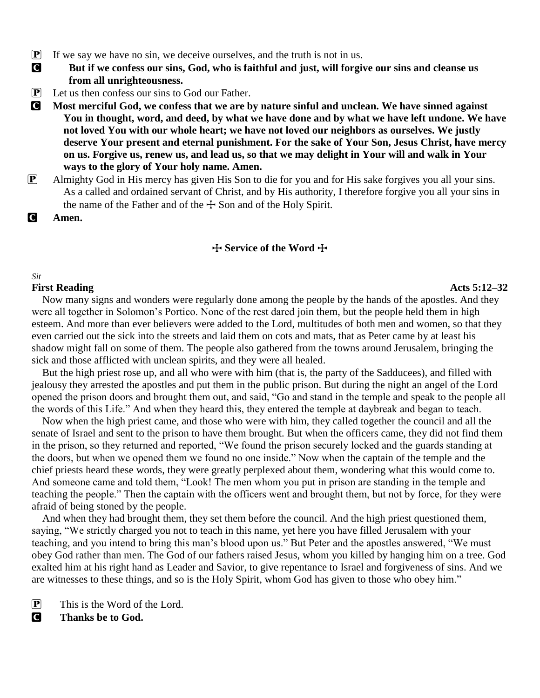- $\mathbf{P}$  If we say we have no sin, we deceive ourselves, and the truth is not in us.
- C **But if we confess our sins, God, who is faithful and just, will forgive our sins and cleanse us from all unrighteousness.**
- P Let us then confess our sins to God our Father.
- C **Most merciful God, we confess that we are by nature sinful and unclean. We have sinned against You in thought, word, and deed, by what we have done and by what we have left undone. We have not loved You with our whole heart; we have not loved our neighbors as ourselves. We justly deserve Your present and eternal punishment. For the sake of Your Son, Jesus Christ, have mercy on us. Forgive us, renew us, and lead us, so that we may delight in Your will and walk in Your ways to the glory of Your holy name. Amen.**
- P Almighty God in His mercy has given His Son to die for you and for His sake forgives you all your sins. As a called and ordained servant of Christ, and by His authority, I therefore forgive you all your sins in the name of the Father and of the  $\pm$  Son and of the Holy Spirit.
- C **Amen.**

## T **Service of the Word** T

### *Sit*

### **First Reading Acts 5:12–32**

Now many signs and wonders were regularly done among the people by the hands of the apostles. And they were all together in Solomon's Portico. None of the rest dared join them, but the people held them in high esteem. And more than ever believers were added to the Lord, multitudes of both men and women, so that they even carried out the sick into the streets and laid them on cots and mats, that as Peter came by at least his shadow might fall on some of them. The people also gathered from the towns around Jerusalem, bringing the sick and those afflicted with unclean spirits, and they were all healed.

But the high priest rose up, and all who were with him (that is, the party of the Sadducees), and filled with jealousy they arrested the apostles and put them in the public prison. But during the night an angel of the Lord opened the prison doors and brought them out, and said, "Go and stand in the temple and speak to the people all the words of this Life." And when they heard this, they entered the temple at daybreak and began to teach.

Now when the high priest came, and those who were with him, they called together the council and all the senate of Israel and sent to the prison to have them brought. But when the officers came, they did not find them in the prison, so they returned and reported, "We found the prison securely locked and the guards standing at the doors, but when we opened them we found no one inside." Now when the captain of the temple and the chief priests heard these words, they were greatly perplexed about them, wondering what this would come to. And someone came and told them, "Look! The men whom you put in prison are standing in the temple and teaching the people." Then the captain with the officers went and brought them, but not by force, for they were afraid of being stoned by the people.

And when they had brought them, they set them before the council. And the high priest questioned them, saying, "We strictly charged you not to teach in this name, yet here you have filled Jerusalem with your teaching, and you intend to bring this man's blood upon us." But Peter and the apostles answered, "We must obey God rather than men. The God of our fathers raised Jesus, whom you killed by hanging him on a tree. God exalted him at his right hand as Leader and Savior, to give repentance to Israel and forgiveness of sins. And we are witnesses to these things, and so is the Holy Spirit, whom God has given to those who obey him."

 $\boxed{\mathbf{P}}$  This is the Word of the Lord.

C **Thanks be to God.**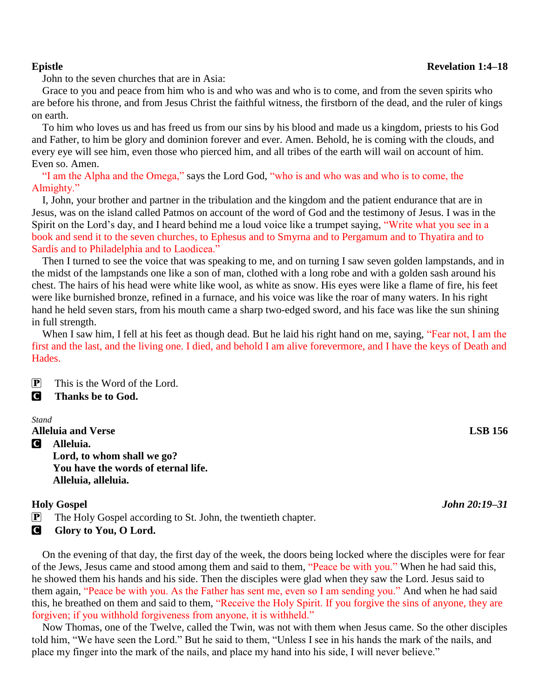John to the seven churches that are in Asia:

Grace to you and peace from him who is and who was and who is to come, and from the seven spirits who are before his throne, and from Jesus Christ the faithful witness, the firstborn of the dead, and the ruler of kings on earth.

To him who loves us and has freed us from our sins by his blood and made us a kingdom, priests to his God and Father, to him be glory and dominion forever and ever. Amen. Behold, he is coming with the clouds, and every eye will see him, even those who pierced him, and all tribes of the earth will wail on account of him. Even so. Amen.

"I am the Alpha and the Omega," says the Lord God, "who is and who was and who is to come, the Almighty."

I, John, your brother and partner in the tribulation and the kingdom and the patient endurance that are in Jesus, was on the island called Patmos on account of the word of God and the testimony of Jesus. I was in the Spirit on the Lord's day, and I heard behind me a loud voice like a trumpet saying, "Write what you see in a book and send it to the seven churches, to Ephesus and to Smyrna and to Pergamum and to Thyatira and to Sardis and to Philadelphia and to Laodicea."

Then I turned to see the voice that was speaking to me, and on turning I saw seven golden lampstands, and in the midst of the lampstands one like a son of man, clothed with a long robe and with a golden sash around his chest. The hairs of his head were white like wool, as white as snow. His eyes were like a flame of fire, his feet were like burnished bronze, refined in a furnace, and his voice was like the roar of many waters. In his right hand he held seven stars, from his mouth came a sharp two-edged sword, and his face was like the sun shining in full strength.

When I saw him, I fell at his feet as though dead. But he laid his right hand on me, saying, "Fear not, I am the first and the last, and the living one. I died, and behold I am alive forevermore, and I have the keys of Death and Hades.

 $\mathbf{P}$  This is the Word of the Lord.

C **Thanks be to God.**

### *Stand*

**Alleluia and Verse LSB 156**

# C **Alleluia.**

**Lord, to whom shall we go? You have the words of eternal life. Alleluia, alleluia.**

- P The Holy Gospel according to St. John, the twentieth chapter.
- **G** Glory to You, O Lord.

On the evening of that day, the first day of the week, the doors being locked where the disciples were for fear of the Jews, Jesus came and stood among them and said to them, "Peace be with you." When he had said this, he showed them his hands and his side. Then the disciples were glad when they saw the Lord. Jesus said to them again, "Peace be with you. As the Father has sent me, even so I am sending you." And when he had said this, he breathed on them and said to them, "Receive the Holy Spirit. If you forgive the sins of anyone, they are forgiven; if you withhold forgiveness from anyone, it is withheld."

Now Thomas, one of the Twelve, called the Twin, was not with them when Jesus came. So the other disciples told him, "We have seen the Lord." But he said to them, "Unless I see in his hands the mark of the nails, and place my finger into the mark of the nails, and place my hand into his side, I will never believe."

**Holy Gospel** *John 20:19–31*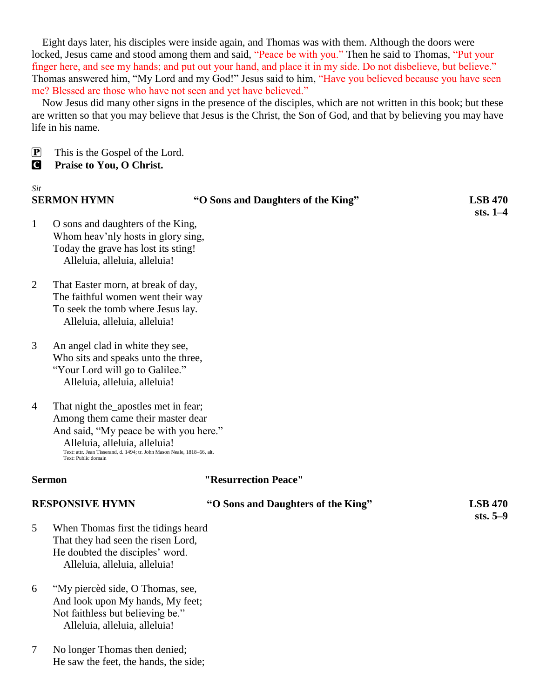Eight days later, his disciples were inside again, and Thomas was with them. Although the doors were locked, Jesus came and stood among them and said, "Peace be with you." Then he said to Thomas, "Put your finger here, and see my hands; and put out your hand, and place it in my side. Do not disbelieve, but believe." Thomas answered him, "My Lord and my God!" Jesus said to him, "Have you believed because you have seen me? Blessed are those who have not seen and yet have believed."

Now Jesus did many other signs in the presence of the disciples, which are not written in this book; but these are written so that you may believe that Jesus is the Christ, the Son of God, and that by believing you may have life in his name.

P This is the Gospel of the Lord.

C **Praise to You, O Christ.**

*Sit*

|               | <b>SERMON HYMN</b>                                                                                                                                                                                                                                      | "O Sons and Daughters of the King" | <b>LSB 470</b><br>sts. $1-4$ |
|---------------|---------------------------------------------------------------------------------------------------------------------------------------------------------------------------------------------------------------------------------------------------------|------------------------------------|------------------------------|
| $\mathbf{1}$  | O sons and daughters of the King,<br>Whom heav'nly hosts in glory sing,<br>Today the grave has lost its sting!<br>Alleluia, alleluia, alleluia!                                                                                                         |                                    |                              |
| 2             | That Easter morn, at break of day,<br>The faithful women went their way<br>To seek the tomb where Jesus lay.<br>Alleluia, alleluia, alleluia!                                                                                                           |                                    |                              |
| 3             | An angel clad in white they see,<br>Who sits and speaks unto the three,<br>"Your Lord will go to Galilee."<br>Alleluia, alleluia, alleluia!                                                                                                             |                                    |                              |
| 4             | That night the_apostles met in fear;<br>Among them came their master dear<br>And said, "My peace be with you here."<br>Alleluia, alleluia, alleluia!<br>Text: attr. Jean Tisserand, d. 1494; tr. John Mason Neale, 1818-66, alt.<br>Text: Public domain |                                    |                              |
| <b>Sermon</b> |                                                                                                                                                                                                                                                         | "Resurrection Peace"               |                              |
|               | <b>RESPONSIVE HYMN</b>                                                                                                                                                                                                                                  | "O Sons and Daughters of the King" | <b>LSB 470</b><br>sts. $5-9$ |
| 5             | When Thomas first the tidings heard<br>That they had seen the risen Lord,<br>He doubted the disciples' word.<br>Alleluia, alleluia, alleluia!                                                                                                           |                                    |                              |
| 6             | "My piercèd side, O Thomas, see<br>And look upon My hands, My feet;<br>Not faithless but believing be."<br>Alleluia, alleluia, alleluia!                                                                                                                |                                    |                              |
| 7             | No longer Thomas then denied;<br>He saw the feet, the hands, the side;                                                                                                                                                                                  |                                    |                              |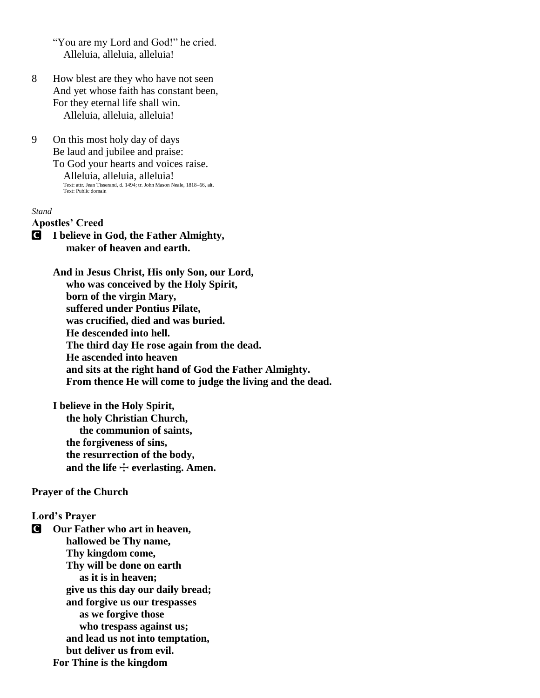"You are my Lord and God!" he cried. Alleluia, alleluia, alleluia!

- 8 How blest are they who have not seen And yet whose faith has constant been, For they eternal life shall win. Alleluia, alleluia, alleluia!
- 9 On this most holy day of days Be laud and jubilee and praise: To God your hearts and voices raise. Alleluia, alleluia, alleluia! Text: attr. Jean Tisserand, d. 1494; tr. John Mason Neale, 1818–66, alt. Text: Public domain

### *Stand*

**Apostles' Creed**

C **I believe in God, the Father Almighty, maker of heaven and earth.**

> **And in Jesus Christ, His only Son, our Lord, who was conceived by the Holy Spirit, born of the virgin Mary, suffered under Pontius Pilate, was crucified, died and was buried. He descended into hell. The third day He rose again from the dead. He ascended into heaven and sits at the right hand of God the Father Almighty. From thence He will come to judge the living and the dead.**

**I believe in the Holy Spirit, the holy Christian Church, the communion of saints, the forgiveness of sins, the resurrection of the body,** and the life  $\div$  everlasting. Amen.

### **Prayer of the Church**

### **Lord's Prayer**

C **Our Father who art in heaven, hallowed be Thy name, Thy kingdom come, Thy will be done on earth as it is in heaven; give us this day our daily bread; and forgive us our trespasses as we forgive those who trespass against us; and lead us not into temptation, but deliver us from evil. For Thine is the kingdom**